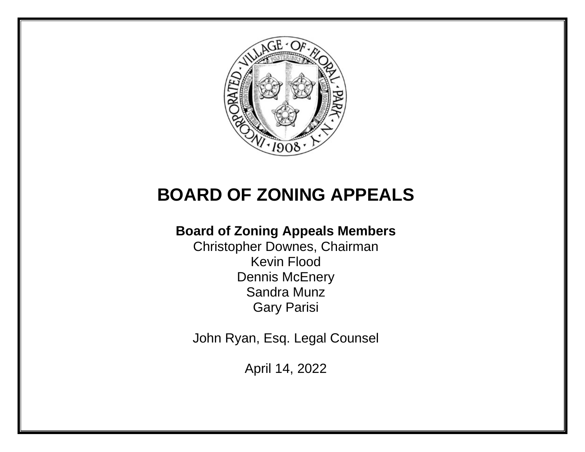

# **BOARD OF ZONING APPEALS**

# **Board of Zoning Appeals Members**

Christopher Downes, Chairman Kevin Flood Dennis McEnery Sandra Munz Gary Parisi

John Ryan, Esq. Legal Counsel

April 14, 2022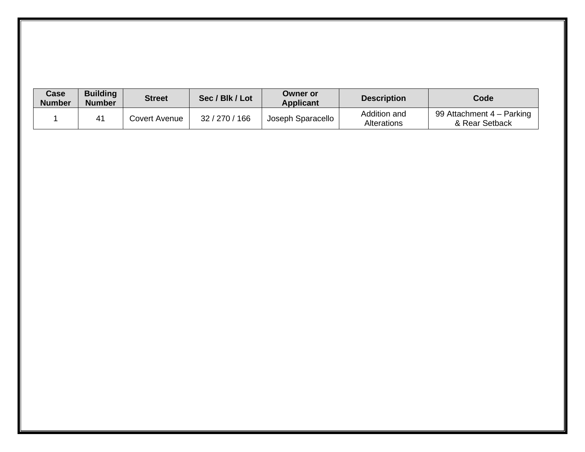| Case<br><b>Number</b> | <b>Building</b><br><b>Number</b> | <b>Street</b> | Sec / Blk / Lot | <b>Owner or</b><br><b>Applicant</b> | <b>Description</b>                 | Code                                        |
|-----------------------|----------------------------------|---------------|-----------------|-------------------------------------|------------------------------------|---------------------------------------------|
|                       | 41                               | Covert Avenue | 32 / 270 / 166  | Joseph Sparacello                   | Addition and<br><b>Alterations</b> | 99 Attachment 4 – Parking<br>& Rear Setback |